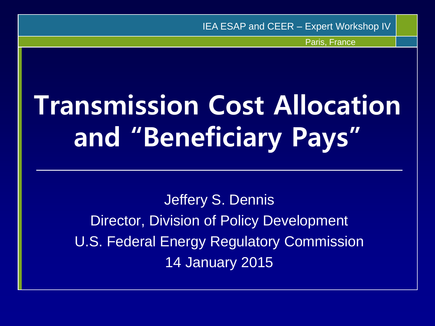IEA ESAP and CEER – Expert Workshop IV

Paris, France

# **Transmission Cost Allocation and "Beneficiary Pays"**

Jeffery S. Dennis Director, Division of Policy Development U.S. Federal Energy Regulatory Commission 14 January 2015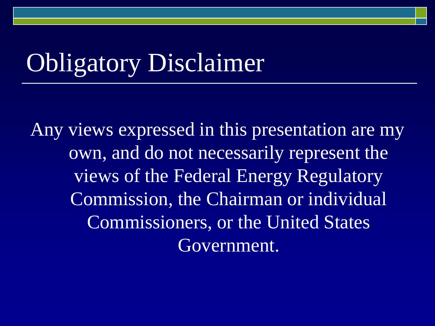## Obligatory Disclaimer

Any views expressed in this presentation are my own, and do not necessarily represent the views of the Federal Energy Regulatory Commission, the Chairman or individual Commissioners, or the United States Government.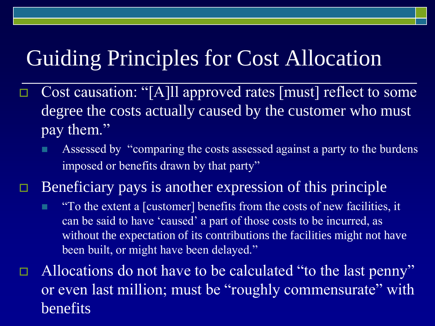### Guiding Principles for Cost Allocation

- Cost causation: "[A]ll approved rates [must] reflect to some degree the costs actually caused by the customer who must pay them."
	- **Assessed by "comparing the costs assessed against a party to the burdens** imposed or benefits drawn by that party"

 $\Box$  Beneficiary pays is another expression of this principle

**To the extent a [customer] benefits from the costs of new facilities, it** can be said to have 'caused' a part of those costs to be incurred, as without the expectation of its contributions the facilities might not have been built, or might have been delayed."

 $\Box$  Allocations do not have to be calculated "to the last penny" or even last million; must be "roughly commensurate" with benefits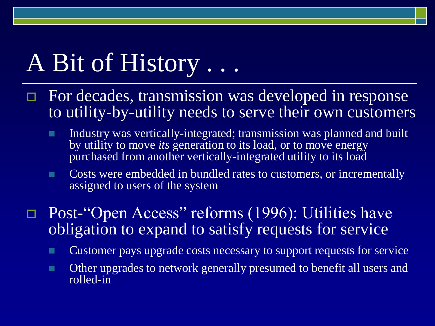## A Bit of History . . .

- $\Box$  For decades, transmission was developed in response to utility-by-utility needs to serve their own customers
	- Industry was vertically-integrated; transmission was planned and built by utility to move *its* generation to its load, or to move energy purchased from another vertically-integrated utility to its load
	- **Costs were embedded in bundled rates to customers, or incrementally** assigned to users of the system
- □ Post-"Open Access" reforms (1996): Utilities have obligation to expand to satisfy requests for service
	- Customer pays upgrade costs necessary to support requests for service
	- **Other upgrades to network generally presumed to benefit all users and** rolled-in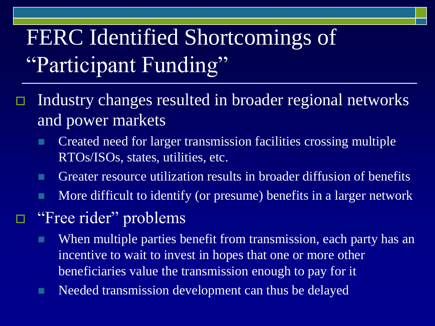## FERC Identified Shortcomings of "Participant Funding"

- Industry changes resulted in broader regional networks and power markets
	- **Created need for larger transmission facilities crossing multiple** RTOs/ISOs, states, utilities, etc.
	- Greater resource utilization results in broader diffusion of benefits
	- **More difficult to identify (or presume) benefits in a larger network**
	- "Free rider" problems
		- **When multiple parties benefit from transmission, each party has an** incentive to wait to invest in hopes that one or more other beneficiaries value the transmission enough to pay for it
		- **Needed transmission development can thus be delayed**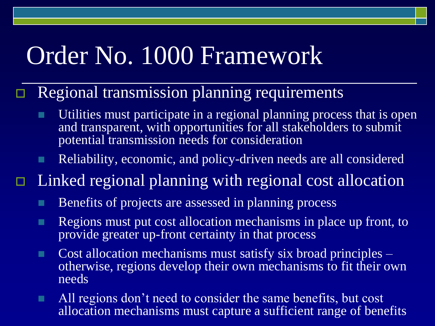## Order No. 1000 Framework

#### $\Box$  Regional transmission planning requirements

- Utilities must participate in a regional planning process that is open and transparent, with opportunities for all stakeholders to submit potential transmission needs for consideration
- Reliability, economic, and policy-driven needs are all considered
- $\Box$  Linked regional planning with regional cost allocation
	- **Benefits of projects are assessed in planning process**
	- **Regions must put cost allocation mechanisms in place up front, to** provide greater up-front certainty in that process
	- **Cost allocation mechanisms must satisfy six broad principles** otherwise, regions develop their own mechanisms to fit their own needs
	- All regions don't need to consider the same benefits, but cost allocation mechanisms must capture a sufficient range of benefits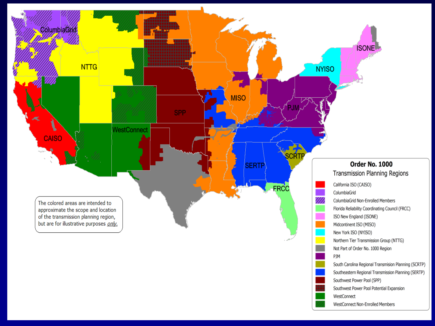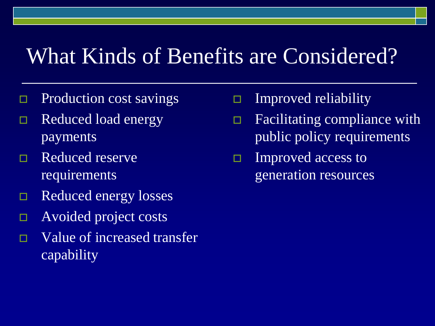### What Kinds of Benefits are Considered?

- Production cost savings
- Reduced load energy payments
- □ Reduced reserve requirements
- Reduced energy losses
- Avoided project costs
- □ Value of increased transfer capability
- Improved reliability
- □ Facilitating compliance with public policy requirements
- $\Box$  Improved access to generation resources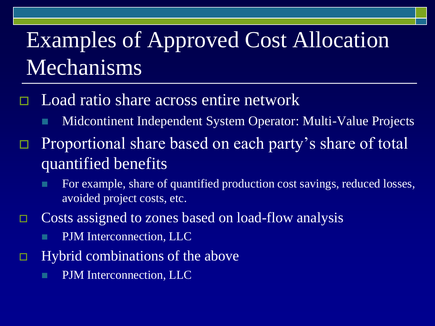### Examples of Approved Cost Allocation Mechanisms

- Load ratio share across entire network
	- **Midcontinent Independent System Operator: Multi-Value Projects**
- □ Proportional share based on each party's share of total quantified benefits
	- For example, share of quantified production cost savings, reduced losses, avoided project costs, etc.
- □ Costs assigned to zones based on load-flow analysis
	- **PJM** Interconnection, LLC
- $\Box$  Hybrid combinations of the above
	- **PJM** Interconnection, LLC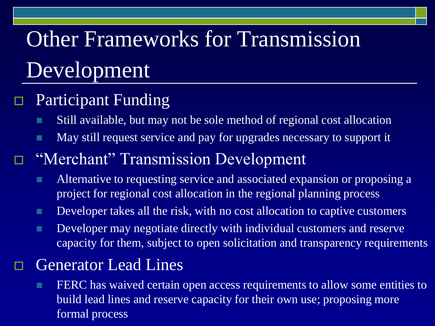## Other Frameworks for Transmission Development

### Participant Funding

- Still available, but may not be sole method of regional cost allocation
- **May still request service and pay for upgrades necessary to support it**

### "Merchant" Transmission Development

- **Alternative to requesting service and associated expansion or proposing a** project for regional cost allocation in the regional planning process
- Developer takes all the risk, with no cost allocation to captive customers
- **Developer may negotiate directly with individual customers and reserve** capacity for them, subject to open solicitation and transparency requirements

#### Generator Lead Lines

**FERC** has waived certain open access requirements to allow some entities to build lead lines and reserve capacity for their own use; proposing more formal process